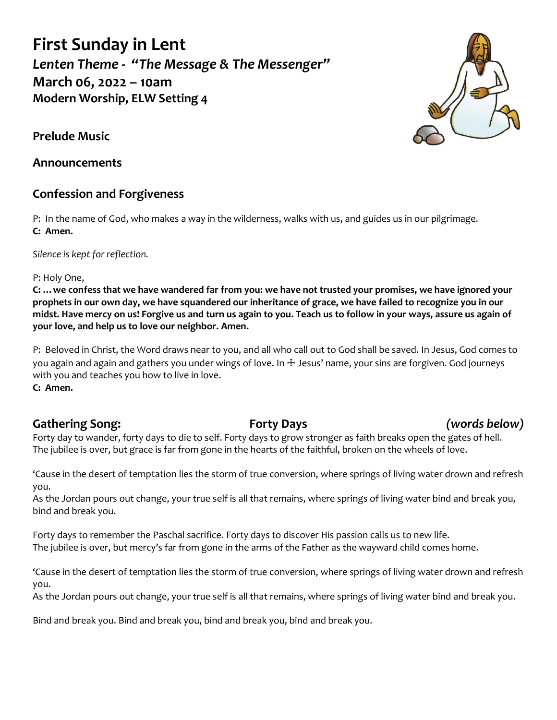**First Sunday in Lent** *Lenten Theme - "The Message & The Messenger"* **March 06, 2022 – 10am Modern Worship, ELW Setting 4**

**Prelude Music**

**Announcements**

## **Confession and Forgiveness**

P: In the name of God, who makes a way in the wilderness, walks with us, and guides us in our pilgrimage. **C: Amen.**

*Silence is kept for reflection.*

P: Holy One,

**C: …we confess that we have wandered far from you: we have not trusted your promises, we have ignored your prophets in our own day, we have squandered our inheritance of grace, we have failed to recognize you in our midst. Have mercy on us! Forgive us and turn us again to you. Teach us to follow in your ways, assure us again of your love, and help us to love our neighbor. Amen.**

P: Beloved in Christ, the Word draws near to you, and all who call out to God shall be saved. In Jesus, God comes to you again and again and gathers you under wings of love. In ☩ Jesus' name, your sins are forgiven. God journeys with you and teaches you how to live in love. **C: Amen.**

## **Gathering Song: Forty Days** *(words below)*

Forty day to wander, forty days to die to self. Forty days to grow stronger as faith breaks open the gates of hell. The jubilee is over, but grace is far from gone in the hearts of the faithful, broken on the wheels of love.

'Cause in the desert of temptation lies the storm of true conversion, where springs of living water drown and refresh you.

As the Jordan pours out change, your true self is all that remains, where springs of living water bind and break you, bind and break you.

Forty days to remember the Paschal sacrifice. Forty days to discover His passion calls us to new life. The jubilee is over, but mercy's far from gone in the arms of the Father as the wayward child comes home.

'Cause in the desert of temptation lies the storm of true conversion, where springs of living water drown and refresh you.

As the Jordan pours out change, your true self is all that remains, where springs of living water bind and break you.

Bind and break you. Bind and break you, bind and break you, bind and break you.

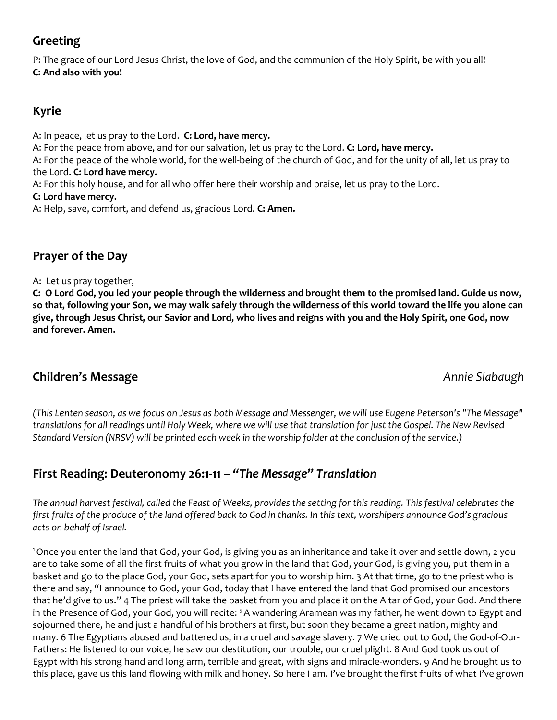## **Greeting**

P: The grace of our Lord Jesus Christ, the love of God, and the communion of the Holy Spirit, be with you all! **C: And also with you!**

## **Kyrie**

A: In peace, let us pray to the Lord. **C: Lord, have mercy.**

A: For the peace from above, and for our salvation, let us pray to the Lord. **C: Lord, have mercy.**

A: For the peace of the whole world, for the well-being of the church of God, and for the unity of all, let us pray to the Lord. **C: Lord have mercy.**

A: For this holy house, and for all who offer here their worship and praise, let us pray to the Lord.

### **C: Lord have mercy.**

A: Help, save, comfort, and defend us, gracious Lord. **C: Amen.**

## **Prayer of the Day**

A: Let us pray together,

**C: O Lord God, you led your people through the wilderness and brought them to the promised land. Guide us now, so that, following your Son, we may walk safely through the wilderness of this world toward the life you alone can give, through Jesus Christ, our Savior and Lord, who lives and reigns with you and the Holy Spirit, one God, now and forever. Amen.**

## **Children's Message** *Annie Slabaugh Annie Slabaugh*

*(This Lenten season, as we focus on Jesus as both Message and Messenger, we will use Eugene Peterson's "The Message" translations for all readings until Holy Week, where we will use that translation for just the Gospel. The New Revised Standard Version (NRSV) will be printed each week in the worship folder at the conclusion of the service.)*

## **First Reading: Deuteronomy 26:1-11 –** *"The Message" Translation*

*The annual harvest festival, called the Feast of Weeks, provides the setting for this reading. This festival celebrates the first fruits of the produce of the land offered back to God in thanks. In this text, worshipers announce God's gracious acts on behalf of Israel.*

<sup>1</sup>Once you enter the land that God, your God, is giving you as an inheritance and take it over and settle down, 2 you are to take some of all the first fruits of what you grow in the land that God, your God, is giving you, put them in a basket and go to the place God, your God, sets apart for you to worship him. 3 At that time, go to the priest who is there and say, "I announce to God, your God, today that I have entered the land that God promised our ancestors that he'd give to us." 4 The priest will take the basket from you and place it on the Altar of God, your God. And there in the Presence of God, your God, you will recite: <sup>5</sup>A wandering Aramean was my father, he went down to Egypt and sojourned there, he and just a handful of his brothers at first, but soon they became a great nation, mighty and many. 6 The Egyptians abused and battered us, in a cruel and savage slavery. 7 We cried out to God, the God-of-Our-Fathers: He listened to our voice, he saw our destitution, our trouble, our cruel plight. 8 And God took us out of Egypt with his strong hand and long arm, terrible and great, with signs and miracle-wonders. 9 And he brought us to this place, gave us this land flowing with milk and honey. So here I am. I've brought the first fruits of what I've grown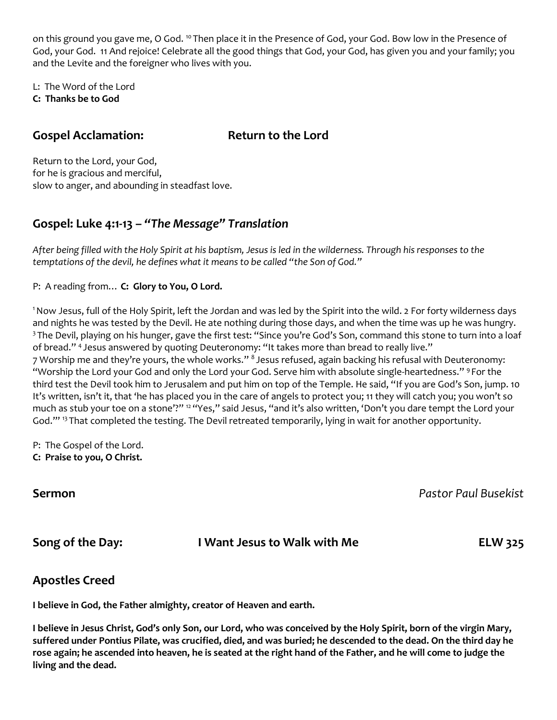on this ground you gave me, O God. <sup>10</sup> Then place it in the Presence of God, your God. Bow low in the Presence of God, your God. 11 And rejoice! Celebrate all the good things that God, your God, has given you and your family; you and the Levite and the foreigner who lives with you.

L: The Word of the Lord

**C: Thanks be to God**

## **Gospel Acclamation: Return to the Lord**

Return to the Lord, your God, for he is gracious and merciful, slow to anger, and abounding in steadfast love.

## **Gospel: Luke 4:1-13 –** *"The Message" Translation*

*After being filled with the Holy Spirit at his baptism, Jesus is led in the wilderness. Through his responses to the temptations of the devil, he defines what it means to be called "the Son of God."*

#### P: A reading from… **C: Glory to You, O Lord.**

<sup>1</sup>Now Jesus, full of the Holy Spirit, left the Jordan and was led by the Spirit into the wild. 2 For forty wilderness days and nights he was tested by the Devil. He ate nothing during those days, and when the time was up he was hungry. <sup>3</sup> The Devil, playing on his hunger, gave the first test: "Since you're God's Son, command this stone to turn into a loaf of bread." <sup>4</sup> Jesus answered by quoting Deuteronomy: "It takes more than bread to really live." 7 Worship me and they're yours, the whole works."  $^8$  Jesus refused, again backing his refusal with Deuteronomy: "Worship the Lord your God and only the Lord your God. Serve him with absolute single-heartedness."  $9$  For the third test the Devil took him to Jerusalem and put him on top of the Temple. He said, "If you are God's Son, jump. 10 It's written, isn't it, that 'he has placed you in the care of angels to protect you; 11 they will catch you; you won't so much as stub your toe on a stone?"<sup>12</sup> "Yes," said Jesus, "and it's also written, 'Don't you dare tempt the Lord your God."<sup>3</sup> That completed the testing. The Devil retreated temporarily, lying in wait for another opportunity.

P: The Gospel of the Lord. **C: Praise to you, O Christ.**

**Sermon** *Pastor Paul Busekist*

**Song of the Day: I Want Jesus to Walk with Me ELW 325**

## **Apostles Creed**

**I believe in God, the Father almighty, creator of Heaven and earth.** 

**I believe in Jesus Christ, God's only Son, our Lord, who was conceived by the Holy Spirit, born of the virgin Mary, suffered under Pontius Pilate, was crucified, died, and was buried; he descended to the dead. On the third day he rose again; he ascended into heaven, he is seated at the right hand of the Father, and he will come to judge the living and the dead.**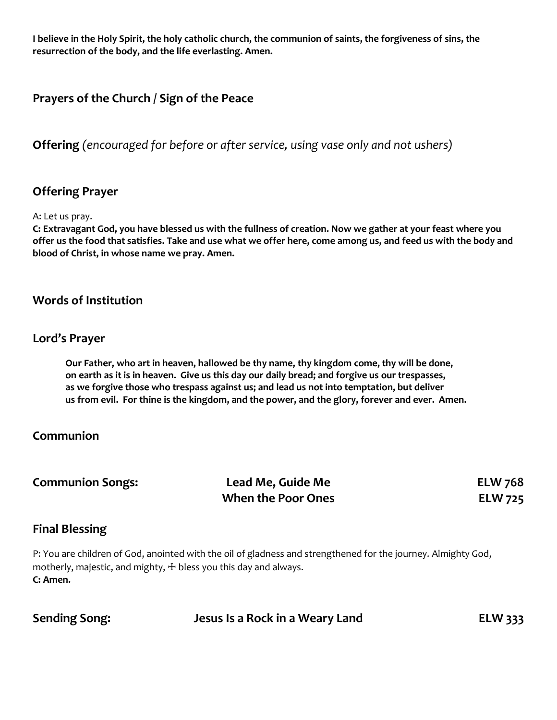**I believe in the Holy Spirit, the holy catholic church, the communion of saints, the forgiveness of sins, the resurrection of the body, and the life everlasting. Amen.**

## **Prayers of the Church / Sign of the Peace**

**Offering** *(encouraged for before or after service, using vase only and not ushers)*

## **Offering Prayer**

A: Let us pray.

**C: Extravagant God, you have blessed us with the fullness of creation. Now we gather at your feast where you offer us the food that satisfies. Take and use what we offer here, come among us, and feed us with the body and blood of Christ, in whose name we pray. Amen.**

### **Words of Institution**

### **Lord's Prayer**

**Our Father, who art in heaven, hallowed be thy name, thy kingdom come, thy will be done, on earth as it is in heaven. Give us this day our daily bread; and forgive us our trespasses, as we forgive those who trespass against us; and lead us not into temptation, but deliver us from evil. For thine is the kingdom, and the power, and the glory, forever and ever. Amen.**

## **Communion**

| <b>Communion Songs:</b> | Lead Me, Guide Me         | <b>ELW 768</b> |
|-------------------------|---------------------------|----------------|
|                         | <b>When the Poor Ones</b> | <b>ELW 725</b> |

## **Final Blessing**

P: You are children of God, anointed with the oil of gladness and strengthened for the journey. Almighty God, motherly, majestic, and mighty,  $\pm$  bless you this day and always. **C: Amen.**

| <b>Sending Song:</b> | Jesus Is a Rock in a Weary Land | <b>ELW 333</b> |
|----------------------|---------------------------------|----------------|
|                      |                                 |                |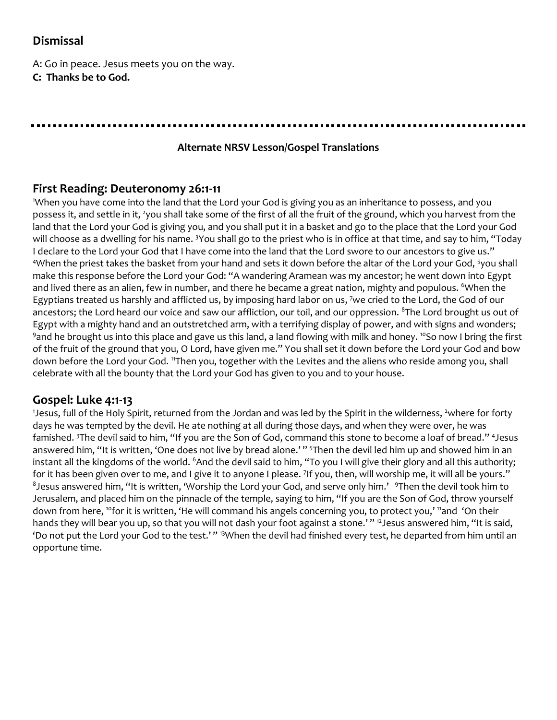## **Dismissal**

A: Go in peace. Jesus meets you on the way. **C: Thanks be to God.**

### **Alternate NRSV Lesson/Gospel Translations**

## **First Reading: Deuteronomy 26:1-11**

<sup>1</sup>When you have come into the land that the Lord your God is giving you as an inheritance to possess, and you possess it, and settle in it, <sup>2</sup>you shall take some of the first of all the fruit of the ground, which you harvest from the land that the Lord your God is giving you, and you shall put it in a basket and go to the place that the Lord your God will choose as a dwelling for his name. <sup>3</sup>You shall go to the priest who is in office at that time, and say to him, "Today I declare to the Lord your God that I have come into the land that the Lord swore to our ancestors to give us." <sup>4</sup>When the priest takes the basket from your hand and sets it down before the altar of the Lord your God, <sup>5</sup>you shall make this response before the Lord your God: "A wandering Aramean was my ancestor; he went down into Egypt and lived there as an alien, few in number, and there he became a great nation, mighty and populous. <sup>6</sup>When the Egyptians treated us harshly and afflicted us, by imposing hard labor on us, <sup>7</sup>we cried to the Lord, the God of our ancestors; the Lord heard our voice and saw our affliction, our toil, and our oppression. <sup>8</sup>The Lord brought us out of Egypt with a mighty hand and an outstretched arm, with a terrifying display of power, and with signs and wonders; 9and he brought us into this place and gave us this land, a land flowing with milk and honey. <sup>10</sup>So now I bring the first of the fruit of the ground that you, O Lord, have given me." You shall set it down before the Lord your God and bow down before the Lord your God. "Then you, together with the Levites and the aliens who reside among you, shall celebrate with all the bounty that the Lord your God has given to you and to your house.

## **Gospel: Luke 4:1-13**

1 Jesus, full of the Holy Spirit, returned from the Jordan and was led by the Spirit in the wilderness, <sup>2</sup>where for forty days he was tempted by the devil. He ate nothing at all during those days, and when they were over, he was famished. <sup>3</sup>The devil said to him, "If you are the Son of God, command this stone to become a loaf of bread." <sup>4</sup>Jesus answered him, "It is written, 'One does not live by bread alone.'" <sup>5</sup>Then the devil led him up and showed him in an instant all the kingdoms of the world. <sup>6</sup>And the devil said to him, "To you I will give their glory and all this authority; for it has been given over to me, and I give it to anyone I please. <sup>7</sup>If you, then, will worship me, it will all be yours."  $^8$ Jesus answered him, "It is written, 'Worship the Lord your God, and serve only him.' $\,$   $^9$ Then the devil took him to Jerusalem, and placed him on the pinnacle of the temple, saying to him, "If you are the Son of God, throw yourself down from here, <sup>10</sup>for it is written, 'He will command his angels concerning you, to protect you,' <sup>11</sup>and 'On their hands they will bear you up, so that you will not dash your foot against a stone.'" <sup>12</sup> Jesus answered him, "It is said, 'Do not put the Lord your God to the test.'" <sup>13</sup>When the devil had finished every test, he departed from him until an opportune time.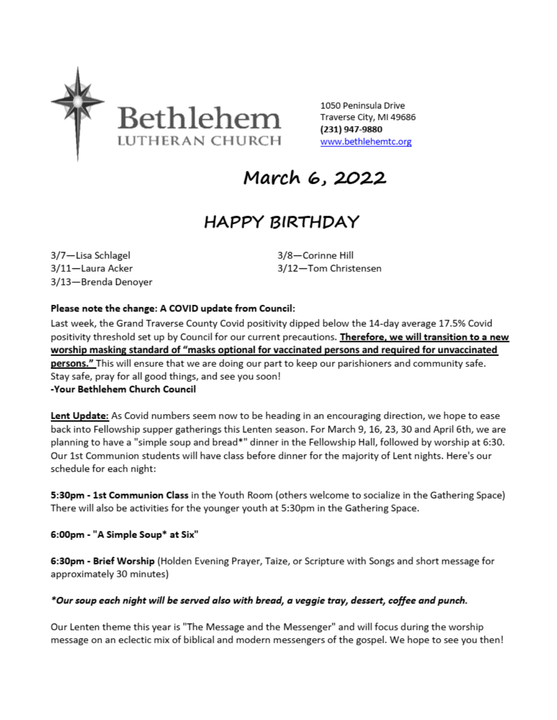

1050 Peninsula Drive Traverse City, MI 49686 (231) 947-9880 www.bethlehemtc.org

# March 6, 2022

# **HAPPY BIRTHDAY**

3/7-Lisa Schlagel 3/11-Laura Acker 3/13-Brenda Denover 3/8-Corinne Hill 3/12-Tom Christensen

#### Please note the change: A COVID update from Council:

Last week, the Grand Traverse County Covid positivity dipped below the 14-day average 17.5% Covid positivity threshold set up by Council for our current precautions. Therefore, we will transition to a new worship masking standard of "masks optional for vaccinated persons and required for unvaccinated persons." This will ensure that we are doing our part to keep our parishioners and community safe. Stav safe, pray for all good things, and see you soon! -Your Bethlehem Church Council

Lent Update: As Covid numbers seem now to be heading in an encouraging direction, we hope to ease back into Fellowship supper gatherings this Lenten season. For March 9, 16, 23, 30 and April 6th, we are planning to have a "simple soup and bread\*" dinner in the Fellowship Hall, followed by worship at 6:30. Our 1st Communion students will have class before dinner for the majority of Lent nights. Here's our schedule for each night:

5:30pm - 1st Communion Class in the Youth Room (others welcome to socialize in the Gathering Space) There will also be activities for the younger youth at 5:30pm in the Gathering Space.

#### 6:00pm - "A Simple Soup\* at Six"

6:30pm - Brief Worship (Holden Evening Prayer, Taize, or Scripture with Songs and short message for approximately 30 minutes)

#### Our soup each night will be served also with bread, a veggie tray, dessert, coffee and punch.

Our Lenten theme this year is "The Message and the Messenger" and will focus during the worship message on an eclectic mix of biblical and modern messengers of the gospel. We hope to see you then!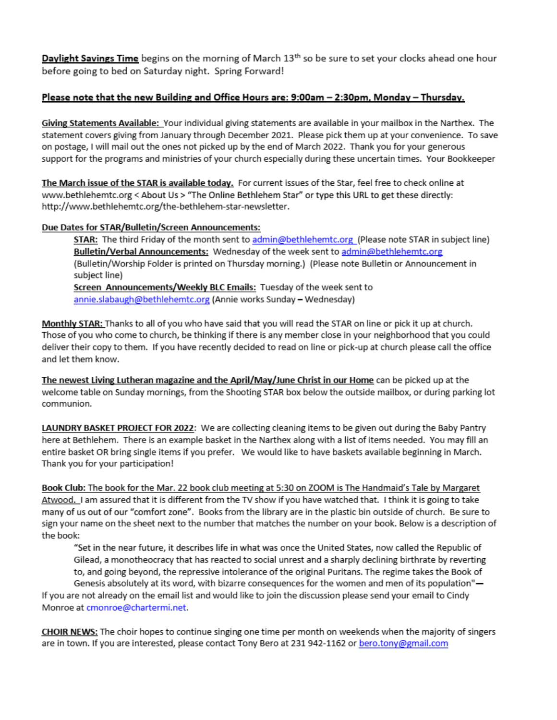Daylight Savings Time begins on the morning of March 13<sup>th</sup> so be sure to set your clocks ahead one hour before going to bed on Saturday night. Spring Forward!

#### Please note that the new Building and Office Hours are: 9:00am - 2:30pm, Monday - Thursday.

Giving Statements Available: Your individual giving statements are available in your mailbox in the Narthex. The statement covers giving from January through December 2021. Please pick them up at your convenience. To save on postage, I will mail out the ones not picked up by the end of March 2022. Thank you for your generous support for the programs and ministries of your church especially during these uncertain times. Your Bookkeeper

The March issue of the STAR is available today. For current issues of the Star, feel free to check online at www.bethlehemtc.org < About Us > "The Online Bethlehem Star" or type this URL to get these directly: http://www.bethlehemtc.org/the-bethlehem-star-newsletter.

#### Due Dates for STAR/Bulletin/Screen Announcements:

STAR: The third Friday of the month sent to admin@bethlehemtc.org (Please note STAR in subject line) Bulletin/Verbal Announcements: Wednesday of the week sent to admin@bethlehemtc.org (Bulletin/Worship Folder is printed on Thursday morning.) (Please note Bulletin or Announcement in subject line) Screen Announcements/Weekly BLC Emails: Tuesday of the week sent to annie.slabaugh@bethlehemtc.org (Annie works Sunday - Wednesday)

Monthly STAR: Thanks to all of you who have said that you will read the STAR on line or pick it up at church. Those of you who come to church, be thinking if there is any member close in your neighborhood that you could deliver their copy to them. If you have recently decided to read on line or pick-up at church please call the office and let them know.

The newest Living Lutheran magazine and the April/May/June Christ in our Home can be picked up at the welcome table on Sunday mornings, from the Shooting STAR box below the outside mailbox, or during parking lot communion.

LAUNDRY BASKET PROJECT FOR 2022: We are collecting cleaning items to be given out during the Baby Pantry here at Bethlehem. There is an example basket in the Narthex along with a list of items needed. You may fill an entire basket OR bring single items if you prefer. We would like to have baskets available beginning in March. Thank you for your participation!

Book Club: The book for the Mar. 22 book club meeting at 5:30 on ZOOM is The Handmaid's Tale by Margaret Atwood. I am assured that it is different from the TV show if you have watched that. I think it is going to take many of us out of our "comfort zone". Books from the library are in the plastic bin outside of church. Be sure to sign your name on the sheet next to the number that matches the number on your book. Below is a description of the book:

"Set in the near future, it describes life in what was once the United States, now called the Republic of Gilead, a monotheocracy that has reacted to social unrest and a sharply declining birthrate by reverting to, and going beyond, the repressive intolerance of the original Puritans. The regime takes the Book of Genesis absolutely at its word, with bizarre consequences for the women and men of its population"-If you are not already on the email list and would like to join the discussion please send your email to Cindy Monroe at cmonroe@chartermi.net.

CHOIR NEWS: The choir hopes to continue singing one time per month on weekends when the majority of singers are in town. If you are interested, please contact Tony Bero at 231 942-1162 or bero.tony@gmail.com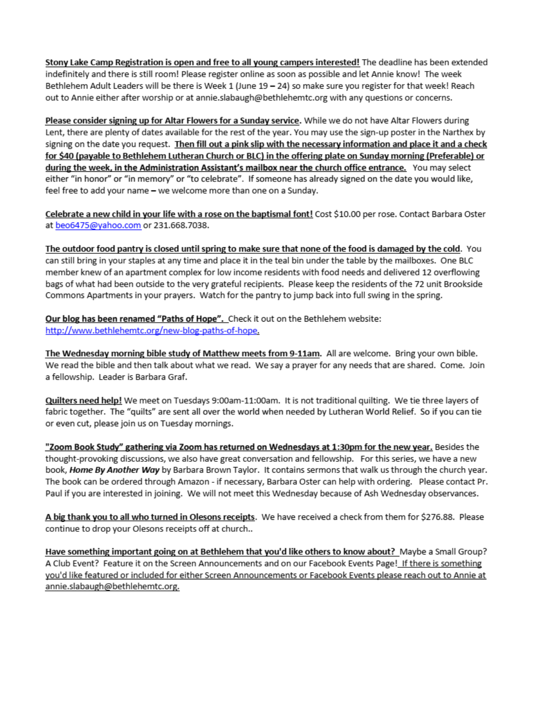Stony Lake Camp Registration is open and free to all young campers interested! The deadline has been extended indefinitely and there is still room! Please register online as soon as possible and let Annie know! The week Bethlehem Adult Leaders will be there is Week 1 (June 19 - 24) so make sure you register for that week! Reach out to Annie either after worship or at annie.slabaugh@bethlehemtc.org with any questions or concerns.

Please consider signing up for Altar Flowers for a Sunday service. While we do not have Altar Flowers during Lent, there are plenty of dates available for the rest of the year. You may use the sign-up poster in the Narthex by signing on the date you request. Then fill out a pink slip with the necessary information and place it and a check for \$40 (payable to Bethlehem Lutheran Church or BLC) in the offering plate on Sunday morning (Preferable) or during the week, in the Administration Assistant's mailbox near the church office entrance. You may select either "in honor" or "in memory" or "to celebrate". If someone has already signed on the date you would like, feel free to add your name - we welcome more than one on a Sunday.

Celebrate a new child in your life with a rose on the baptismal font! Cost \$10.00 per rose. Contact Barbara Oster at beo6475@yahoo.com or 231.668.7038.

The outdoor food pantry is closed until spring to make sure that none of the food is damaged by the cold. You can still bring in your staples at any time and place it in the teal bin under the table by the mailboxes. One BLC member knew of an apartment complex for low income residents with food needs and delivered 12 overflowing bags of what had been outside to the very grateful recipients. Please keep the residents of the 72 unit Brookside Commons Apartments in your prayers. Watch for the pantry to jump back into full swing in the spring.

Our blog has been renamed "Paths of Hope". Check it out on the Bethlehem website: http://www.bethlehemtc.org/new-blog-paths-of-hope.

The Wednesday morning bible study of Matthew meets from 9-11am. All are welcome. Bring your own bible. We read the bible and then talk about what we read. We say a prayer for any needs that are shared. Come. Join a fellowship. Leader is Barbara Graf.

Quilters need help! We meet on Tuesdays 9:00am-11:00am. It is not traditional quilting. We tie three layers of fabric together. The "quilts" are sent all over the world when needed by Lutheran World Relief. So if you can tie or even cut, please join us on Tuesday mornings.

"Zoom Book Study" gathering via Zoom has returned on Wednesdays at 1:30pm for the new year. Besides the thought-provoking discussions, we also have great conversation and fellowship. For this series, we have a new book, Home By Another Way by Barbara Brown Taylor. It contains sermons that walk us through the church year. The book can be ordered through Amazon - if necessary, Barbara Oster can help with ordering. Please contact Pr. Paul if you are interested in joining. We will not meet this Wednesday because of Ash Wednesday observances.

A big thank you to all who turned in Olesons receipts. We have received a check from them for \$276.88. Please continue to drop your Olesons receipts off at church..

Have something important going on at Bethlehem that you'd like others to know about? Maybe a Small Group? A Club Event? Feature it on the Screen Announcements and on our Facebook Events Page! If there is something you'd like featured or included for either Screen Announcements or Facebook Events please reach out to Annie at annie.slabaugh@bethlehemtc.org.